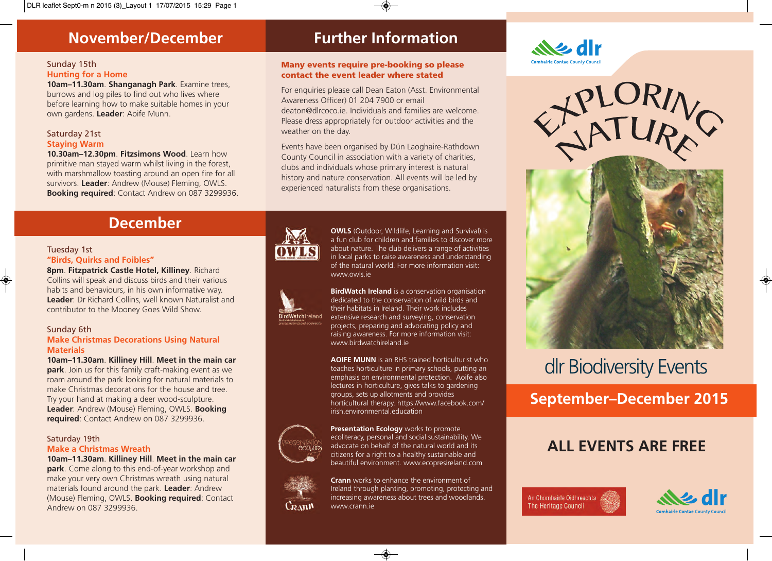## **November/December**

#### Sunday 15th **Hunting for a Home**

**10am–11.30am**. **Shanganagh Park**. Examine trees, burrows and log piles to find out who lives where before learning how to make suitable homes in your own gardens. **Leader**: Aoife Munn.

#### Saturday 21st **Staying Warm**

**10.30am–12.30pm**. **Fitzsimons Wood**. Learn how primitive man stayed warm whilst living in the forest, with marshmallow toasting around an open fire for all survivors. **Leader**: Andrew (Mouse) Fleming, OWLS. **Booking required**: Contact Andrew on 087 3299936.

## **Further Information**

#### **Many events require pre-booking so please contact the event leader where stated**

For enquiries please call Dean Eaton (Asst. Environmental Awareness Officer) 01 204 7900 or email deaton@dlrcoco.ie. Individuals and families are welcome. Please dress appropriately for outdoor activities and the weather on the day.

Events have been organised by Dún Laoghaire-Rathdown County Council in association with a variety of charities, clubs and individuals whose primary interest is natural history and nature conservation. All events will be led by experienced naturalists from these organisations.

## **December**

## Tuesday 1st

#### **"Birds, Quirks and Foibles"**

**8pm**. **Fitzpatrick Castle Hotel, Killiney**. Richard Collins will speak and discuss birds and their various habits and behaviours, in his own informative way. **Leader**: Dr Richard Collins, well known Naturalist and contributor to the Mooney Goes Wild Show.

#### Sunday 6th

 $\bigcirc$ 

#### **Make Christmas Decorations Using Natural Materials**

**10am–11.30am**. **Killiney Hill**. **Meet in the main car park**. Join us for this family craft-making event as we roam around the park looking for natural materials to make Christmas decorations for the house and tree. Try your hand at making a deer wood-sculpture. **Leader**: Andrew (Mouse) Fleming, OWLS. **Booking required**: Contact Andrew on 087 3299936.

#### Saturday 19th **Make a Christmas Wreath**

**10am–11.30am**. **Killiney Hill**. **Meet in the main car park**. Come along to this end-of-year workshop and make your very own Christmas wreath using natural materials found around the park. **Leader**: Andrew (Mouse) Fleming, OWLS. **Booking required**: Contact Andrew on 087 3299936.



rdWatchIreland

ecol.og

Crann

**OWLS** (Outdoor, Wildlife, Learning and Survival) is a fun club for children and families to discover more about nature. The club delivers a range of activities in local parks to raise awareness and understanding of the natural world. For more information visit: www.owls.ie

**BirdWatch Ireland** is a conservation organisation dedicated to the conservation of wild birds and their habitats in Ireland. Their work includes extensive research and surveying, conservation projects, preparing and advocating policy and raising awareness. For more information visit: www.birdwatchireland.ie

**AOIFE MUNN** is an RHS trained horticulturist who teaches horticulture in primary schools, putting an emphasis on environmental protection. Aoife also lectures in horticulture, gives talks to gardening groups, sets up allotments and provides horticultural therapy. https://www.facebook.com/ irish.environmental.education

**Presentation Ecology** works to promote ecoliteracy, personal and social sustainability. We advocate on behalf of the natural world and its citizens for a right to a healthy sustainable and beautiful environment. www.ecopresireland.com

**Crann** works to enhance the environment of Ireland through planting, promoting, protecting and increasing awareness about trees and woodlands. www.crann.ie





# dlr Biodiversity Events

**September–December 2015** 

## **ALL EVENTS ARE FREE**

An Chomhairle Oidhreachta **The Heritage Council** 



 $\bigcirc$